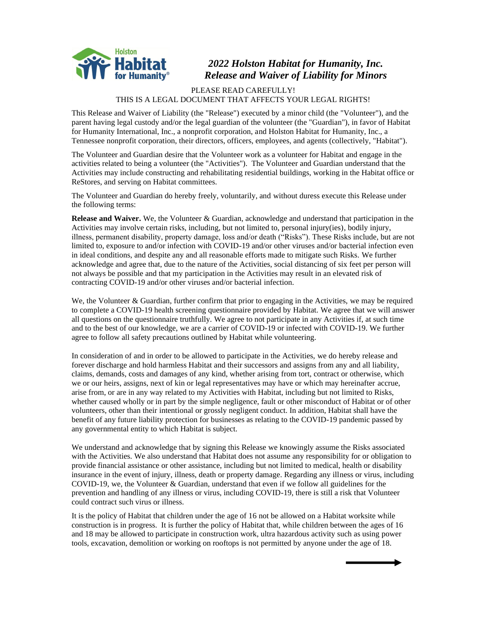

## *2022 Holston Habitat for Humanity, Inc. Release and Waiver of Liability for Minors*

## PLEASE READ CAREFULLY! THIS IS A LEGAL DOCUMENT THAT AFFECTS YOUR LEGAL RIGHTS!

This Release and Waiver of Liability (the "Release") executed by a minor child (the "Volunteer"), and the parent having legal custody and/or the legal guardian of the volunteer (the "Guardian"), in favor of Habitat for Humanity International, Inc., a nonprofit corporation, and Holston Habitat for Humanity, Inc., a Tennessee nonprofit corporation, their directors, officers, employees, and agents (collectively, "Habitat").

The Volunteer and Guardian desire that the Volunteer work as a volunteer for Habitat and engage in the activities related to being a volunteer (the "Activities"). The Volunteer and Guardian understand that the Activities may include constructing and rehabilitating residential buildings, working in the Habitat office or ReStores, and serving on Habitat committees.

The Volunteer and Guardian do hereby freely, voluntarily, and without duress execute this Release under the following terms:

**Release and Waiver.** We, the Volunteer & Guardian, acknowledge and understand that participation in the Activities may involve certain risks, including, but not limited to, personal injury(ies), bodily injury, illness, permanent disability, property damage, loss and/or death ("Risks"). These Risks include, but are not limited to, exposure to and/or infection with COVID-19 and/or other viruses and/or bacterial infection even in ideal conditions, and despite any and all reasonable efforts made to mitigate such Risks. We further acknowledge and agree that, due to the nature of the Activities, social distancing of six feet per person will not always be possible and that my participation in the Activities may result in an elevated risk of contracting COVID-19 and/or other viruses and/or bacterial infection.

We, the Volunteer & Guardian, further confirm that prior to engaging in the Activities, we may be required to complete a COVID-19 health screening questionnaire provided by Habitat. We agree that we will answer all questions on the questionnaire truthfully. We agree to not participate in any Activities if, at such time and to the best of our knowledge, we are a carrier of COVID-19 or infected with COVID-19. We further agree to follow all safety precautions outlined by Habitat while volunteering.

In consideration of and in order to be allowed to participate in the Activities, we do hereby release and forever discharge and hold harmless Habitat and their successors and assigns from any and all liability, claims, demands, costs and damages of any kind, whether arising from tort, contract or otherwise, which we or our heirs, assigns, next of kin or legal representatives may have or which may hereinafter accrue, arise from, or are in any way related to my Activities with Habitat, including but not limited to Risks, whether caused wholly or in part by the simple negligence, fault or other misconduct of Habitat or of other volunteers, other than their intentional or grossly negligent conduct. In addition, Habitat shall have the benefit of any future liability protection for businesses as relating to the COVID-19 pandemic passed by any governmental entity to which Habitat is subject.

We understand and acknowledge that by signing this Release we knowingly assume the Risks associated with the Activities. We also understand that Habitat does not assume any responsibility for or obligation to provide financial assistance or other assistance, including but not limited to medical, health or disability insurance in the event of injury, illness, death or property damage. Regarding any illness or virus, including COVID-19, we, the Volunteer & Guardian, understand that even if we follow all guidelines for the prevention and handling of any illness or virus, including COVID-19, there is still a risk that Volunteer could contract such virus or illness.

It is the policy of Habitat that children under the age of 16 not be allowed on a Habitat worksite while construction is in progress. It is further the policy of Habitat that, while children between the ages of 16 and 18 may be allowed to participate in construction work, ultra hazardous activity such as using power tools, excavation, demolition or working on rooftops is not permitted by anyone under the age of 18.